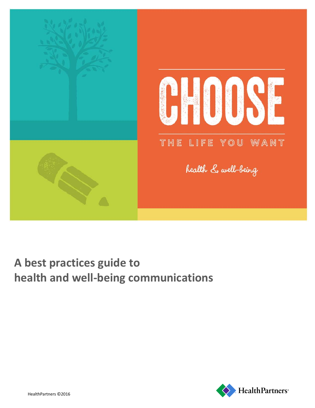

# **A best practices guide to health and well-being communications**

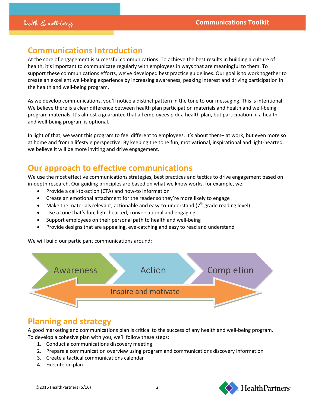### **Communications Introduction**

At the core of engagement is successful communications. To achieve the best results in building a culture of health, it's important to communicate regularly with employees in ways that are meaningful to them. To support these communications efforts, we've developed best practice guidelines. Our goal is to work together to create an excellent well-being experience by increasing awareness, peaking interest and driving participation in the health and well-being program.

As we develop communications, you'll notice a distinct pattern in the tone to our messaging. This is intentional. We believe there is a clear difference between health plan participation materials and health and well-being program materials. It's almost a guarantee that all employees pick a health plan, but participation in a health and well-being program is optional.

In light of that, we want this program to feel different to employees. It's about them– at work, but even more so at home and from a lifestyle perspective. By keeping the tone fun, motivational, inspirational and light-hearted, we believe it will be more inviting and drive engagement.

### **Our approach to effective communications**

We use the most effective communications strategies, best practices and tactics to drive engagement based on in-depth research. Our guiding principles are based on what we know works, for example, we:

- Provide a call-to-action (CTA) and how-to information
- Create an emotional attachment for the reader so they're more likely to engage
- Make the materials relevant, actionable and easy-to-understand ( $7<sup>th</sup>$  grade reading level)
- Use a tone that's fun, light-hearted, conversational and engaging
- Support employees on their personal path to health and well-being
- Provide designs that are appealing, eye-catching and easy to read and understand

We will build our participant communications around:



### **Planning and strategy**

A good marketing and communications plan is critical to the success of any health and well-being program. To develop a cohesive plan with you, we'll follow these steps:

- 1. Conduct a communications discovery meeting
- 2. Prepare a communication overview using program and communications discovery information
- 3. Create a tactical communications calendar
- 4. Execute on plan



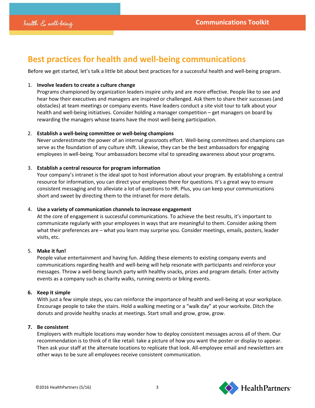## **Best practices for health and well-being communications**

Before we get started, let's talk a little bit about best practices for a successful health and well-being program.

#### 1. **Involve leaders to create a culture change**

Programs championed by organization leaders inspire unity and are more effective. People like to see and hear how their executives and managers are inspired or challenged. Ask them to share their successes (and obstacles) at team meetings or company events. Have leaders conduct a site visit tour to talk about your health and well-being initiatives. Consider holding a manager competition – get managers on board by rewarding the managers whose teams have the most well-being participation.

#### 2. **Establish a well-being committee or well-being champions**

Never underestimate the power of an internal grassroots effort. Well-being committees and champions can serve as the foundation of any culture shift. Likewise, they can be the best ambassadors for engaging employees in well-being. Your ambassadors become vital to spreading awareness about your programs.

#### 3. **Establish a central resource for program information**

Your company's intranet is the ideal spot to host information about your program. By establishing a central resource for information, you can direct your employees there for questions. It's a great way to ensure consistent messaging and to alleviate a lot of questions to HR. Plus, you can keep your communications short and sweet by directing them to the intranet for more details.

#### 4. **Use a variety of communication channels to increase engagement**

At the core of engagement is successful communications. To achieve the best results, it's important to communicate regularly with your employees in ways that are meaningful to them. Consider asking them what their preferences are – what you learn may surprise you. Consider meetings, emails, posters, leader visits, etc.

#### 5. **Make it fun!**

People value entertainment and having fun. Adding these elements to existing company events and communications regarding health and well-being will help resonate with participants and reinforce your messages. Throw a well-being launch party with healthy snacks, prizes and program details. Enter activity events as a company such as charity walks, running events or biking events.

#### **6. Keep it simple**

With just a few simple steps, you can reinforce the importance of health and well-being at your workplace. Encourage people to take the stairs. Hold a walking meeting or a "walk day" at your worksite. Ditch the donuts and provide healthy snacks at meetings. Start small and grow, grow, grow.

#### **7. Be consistent**

Employers with multiple locations may wonder how to deploy consistent messages across all of them. Our recommendation is to think of it like retail: take a picture of how you want the poster or display to appear. Then ask your staff at the alternate locations to replicate that look. All-employee email and newsletters are other ways to be sure all employees receive consistent communication.

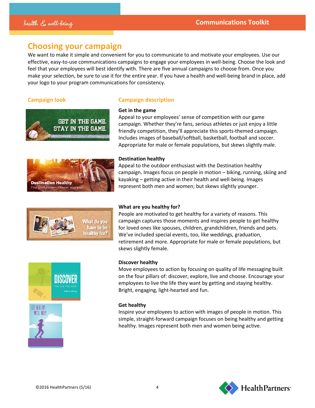### **Choosing your campaign**

We want to make it simple and convenient for you to communicate to and motivate your employees. Use our effective, easy-to-use communications campaigns to engage your employees in well-being. Choose the look and feel that your employees will best identify with. There are five annual campaigns to choose from. Once you make your selection, be sure to use it for the entire year. If you have a health and well-being brand in place, add your logo to your program communications for consistency.

### **Campaign look Campaign description**





**Get in the game**



Appeal to your employees' sense of competition with our game



#### **Destination healthy**

Appeal to the outdoor enthusiast with the Destination healthy campaign. Images focus on people in motion – biking, running, skiing and kayaking – getting active in their health and well-being. Images represent both men and women; but skews slightly younger.



#### **What are you healthy for?**

People are motivated to get healthy for a variety of reasons. This campaign captures those moments and inspires people to get healthy for loved ones like spouses, children, grandchildren, friends and pets. We've included special events, too, like weddings, graduation, retirement and more. Appropriate for male or female populations, but skews slightly female.



#### **Discover healthy**

Move employees to action by focusing on quality of life messaging built on the four pillars of: discover, explore, live and choose. Encourage your employees to live the life they want by getting and staying healthy. Bright, engaging, light-hearted and fun.

#### **Get healthy**

Inspire your employees to action with images of people in motion. This simple, straight-forward campaign focuses on being healthy and getting healthy. Images represent both men and women being active.

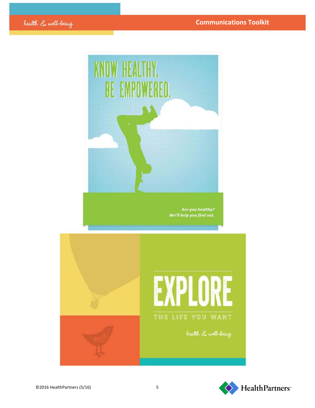